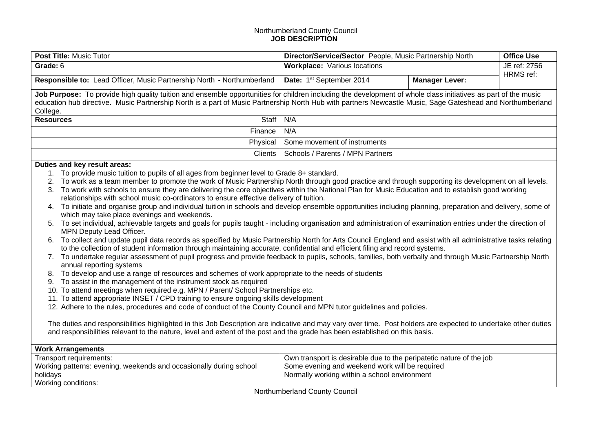## Northumberland County Council **JOB DESCRIPTION**

| Post Title: Music Tutor                                                                                                                                                                                                                                |     | Director/Service/Sector People, Music Partnership North                                                               |                       | <b>Office Use</b> |
|--------------------------------------------------------------------------------------------------------------------------------------------------------------------------------------------------------------------------------------------------------|-----|-----------------------------------------------------------------------------------------------------------------------|-----------------------|-------------------|
| Grade: 6                                                                                                                                                                                                                                               |     | <b>Workplace:</b> Various locations                                                                                   |                       | JE ref: 2756      |
|                                                                                                                                                                                                                                                        |     |                                                                                                                       |                       | HRMS ref:         |
| Responsible to: Lead Officer, Music Partnership North - Northumberland                                                                                                                                                                                 |     | Date: 1st September 2014                                                                                              | <b>Manager Lever:</b> |                   |
| Job Purpose: To provide high quality tuition and ensemble opportunities for children including the development of whole class initiatives as part of the music                                                                                         |     |                                                                                                                       |                       |                   |
| education hub directive. Music Partnership North is a part of Music Partnership North Hub with partners Newcastle Music, Sage Gateshead and Northumberland                                                                                             |     |                                                                                                                       |                       |                   |
| College.<br>Staff<br><b>Resources</b>                                                                                                                                                                                                                  | N/A |                                                                                                                       |                       |                   |
|                                                                                                                                                                                                                                                        | N/A |                                                                                                                       |                       |                   |
| Finance                                                                                                                                                                                                                                                |     |                                                                                                                       |                       |                   |
| Physical                                                                                                                                                                                                                                               |     | Some movement of instruments                                                                                          |                       |                   |
| <b>Clients</b>                                                                                                                                                                                                                                         |     | Schools / Parents / MPN Partners                                                                                      |                       |                   |
| Duties and key result areas:                                                                                                                                                                                                                           |     |                                                                                                                       |                       |                   |
| 1. To provide music tuition to pupils of all ages from beginner level to Grade 8+ standard.                                                                                                                                                            |     |                                                                                                                       |                       |                   |
| To work as a team member to promote the work of Music Partnership North through good practice and through supporting its development on all levels.<br>2.                                                                                              |     |                                                                                                                       |                       |                   |
| To work with schools to ensure they are delivering the core objectives within the National Plan for Music Education and to establish good working<br>3.                                                                                                |     |                                                                                                                       |                       |                   |
| relationships with school music co-ordinators to ensure effective delivery of tuition.<br>4. To initiate and organise group and individual tuition in schools and develop ensemble opportunities including planning, preparation and delivery, some of |     |                                                                                                                       |                       |                   |
| which may take place evenings and weekends.                                                                                                                                                                                                            |     |                                                                                                                       |                       |                   |
| 5. To set individual, achievable targets and goals for pupils taught - including organisation and administration of examination entries under the direction of                                                                                         |     |                                                                                                                       |                       |                   |
| MPN Deputy Lead Officer.                                                                                                                                                                                                                               |     |                                                                                                                       |                       |                   |
| 6. To collect and update pupil data records as specified by Music Partnership North for Arts Council England and assist with all administrative tasks relating                                                                                         |     |                                                                                                                       |                       |                   |
| to the collection of student information through maintaining accurate, confidential and efficient filing and record systems.                                                                                                                           |     |                                                                                                                       |                       |                   |
| 7. To undertake regular assessment of pupil progress and provide feedback to pupils, schools, families, both verbally and through Music Partnership North                                                                                              |     |                                                                                                                       |                       |                   |
| annual reporting systems                                                                                                                                                                                                                               |     |                                                                                                                       |                       |                   |
| To develop and use a range of resources and schemes of work appropriate to the needs of students<br>8.                                                                                                                                                 |     |                                                                                                                       |                       |                   |
| To assist in the management of the instrument stock as required<br>9.                                                                                                                                                                                  |     |                                                                                                                       |                       |                   |
| 10. To attend meetings when required e.g. MPN / Parent/ School Partnerships etc.<br>11. To attend appropriate INSET / CPD training to ensure ongoing skills development                                                                                |     |                                                                                                                       |                       |                   |
| 12. Adhere to the rules, procedures and code of conduct of the County Council and MPN tutor guidelines and policies.                                                                                                                                   |     |                                                                                                                       |                       |                   |
|                                                                                                                                                                                                                                                        |     |                                                                                                                       |                       |                   |
| The duties and responsibilities highlighted in this Job Description are indicative and may vary over time. Post holders are expected to undertake other duties                                                                                         |     |                                                                                                                       |                       |                   |
| and responsibilities relevant to the nature, level and extent of the post and the grade has been established on this basis.                                                                                                                            |     |                                                                                                                       |                       |                   |
|                                                                                                                                                                                                                                                        |     |                                                                                                                       |                       |                   |
| <b>Work Arrangements</b>                                                                                                                                                                                                                               |     |                                                                                                                       |                       |                   |
| Transport requirements:<br>Working patterns: evening, weekends and occasionally during school                                                                                                                                                          |     | Own transport is desirable due to the peripatetic nature of the job<br>Some evening and weekend work will be required |                       |                   |
| holidays                                                                                                                                                                                                                                               |     | Normally working within a school environment                                                                          |                       |                   |

Working conditions: